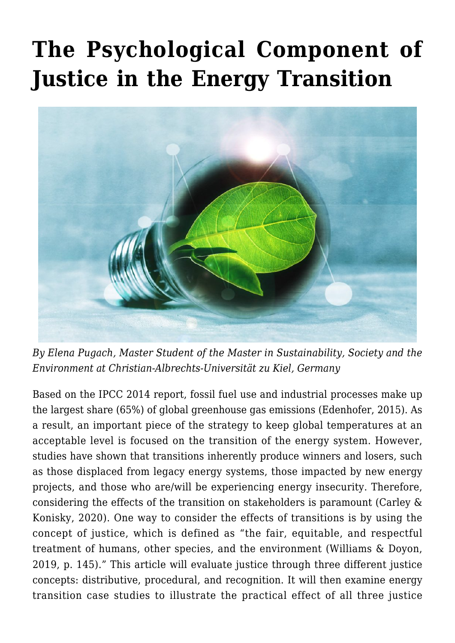# **[The Psychological Component of](https://regions.regionalstudies.org/ezine/article/issue-12-psychological-energy-transition/) [Justice in the Energy Transition](https://regions.regionalstudies.org/ezine/article/issue-12-psychological-energy-transition/)**



*By [Elena Pugach](https://regions.regionalstudies.org/pugachelena@gmail.com), Master Student of the Master in Sustainability, Society and the Environment at Christian-Albrechts-Universität zu Kiel, Germany*

Based on the IPCC 2014 report, fossil fuel use and industrial processes make up the largest share (65%) of global greenhouse gas emissions (Edenhofer, 2015). As a result, an important piece of the strategy to keep global temperatures at an acceptable level is focused on the transition of the energy system. However, studies have shown that transitions inherently produce winners and losers, such as those displaced from legacy energy systems, those impacted by new energy projects, and those who are/will be experiencing energy insecurity. Therefore, considering the effects of the transition on stakeholders is paramount (Carley & Konisky, 2020). One way to consider the effects of transitions is by using the concept of justice, which is defined as "the fair, equitable, and respectful treatment of humans, other species, and the environment (Williams & Doyon, 2019, p. 145)." This article will evaluate justice through three different justice concepts: distributive, procedural, and recognition. It will then examine energy transition case studies to illustrate the practical effect of all three justice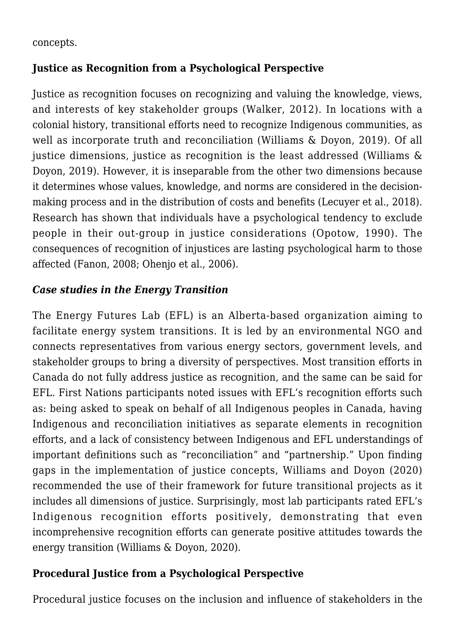concepts.

#### **Justice as Recognition from a Psychological Perspective**

Justice as recognition focuses on recognizing and valuing the knowledge, views, and interests of key stakeholder groups (Walker, 2012). In locations with a colonial history, transitional efforts need to recognize Indigenous communities, as well as incorporate truth and reconciliation (Williams & Doyon, 2019). Of all justice dimensions, justice as recognition is the least addressed (Williams & Doyon, 2019). However, it is inseparable from the other two dimensions because it determines whose values, knowledge, and norms are considered in the decisionmaking process and in the distribution of costs and benefits (Lecuyer et al., 2018). Research has shown that individuals have a psychological tendency to exclude people in their out-group in justice considerations (Opotow, 1990). The consequences of recognition of injustices are lasting psychological harm to those affected (Fanon, 2008; Ohenjo et al., 2006).

## *Case studies in the Energy Transition*

The Energy Futures Lab (EFL) is an Alberta-based organization aiming to facilitate energy system transitions. It is led by an environmental NGO and connects representatives from various energy sectors, government levels, and stakeholder groups to bring a diversity of perspectives. Most transition efforts in Canada do not fully address justice as recognition, and the same can be said for EFL. First Nations participants noted issues with EFL's recognition efforts such as: being asked to speak on behalf of all Indigenous peoples in Canada, having Indigenous and reconciliation initiatives as separate elements in recognition efforts, and a lack of consistency between Indigenous and EFL understandings of important definitions such as "reconciliation" and "partnership." Upon finding gaps in the implementation of justice concepts, Williams and Doyon (2020) recommended the use of their framework for future transitional projects as it includes all dimensions of justice. Surprisingly, most lab participants rated EFL's Indigenous recognition efforts positively, demonstrating that even incomprehensive recognition efforts can generate positive attitudes towards the energy transition (Williams & Doyon, 2020).

#### **Procedural Justice from a Psychological Perspective**

Procedural justice focuses on the inclusion and influence of stakeholders in the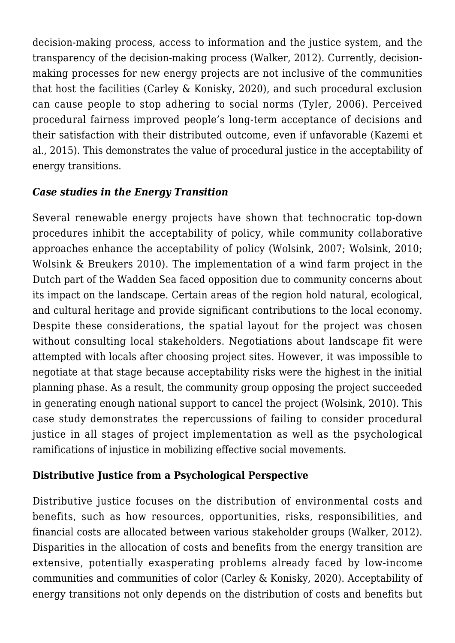decision-making process, access to information and the justice system, and the transparency of the decision-making process (Walker, 2012). Currently, decisionmaking processes for new energy projects are not inclusive of the communities that host the facilities (Carley & Konisky, 2020), and such procedural exclusion can cause people to stop adhering to social norms (Tyler, 2006). Perceived procedural fairness improved people's long-term acceptance of decisions and their satisfaction with their distributed outcome, even if unfavorable (Kazemi et al., 2015). This demonstrates the value of procedural justice in the acceptability of energy transitions.

## *Case studies in the Energy Transition*

Several renewable energy projects have shown that technocratic top-down procedures inhibit the acceptability of policy, while community collaborative approaches enhance the acceptability of policy (Wolsink, 2007; Wolsink, 2010; Wolsink & Breukers 2010). The implementation of a wind farm project in the Dutch part of the Wadden Sea faced opposition due to community concerns about its impact on the landscape. Certain areas of the region hold natural, ecological, and cultural heritage and provide significant contributions to the local economy. Despite these considerations, the spatial layout for the project was chosen without consulting local stakeholders. Negotiations about landscape fit were attempted with locals after choosing project sites. However, it was impossible to negotiate at that stage because acceptability risks were the highest in the initial planning phase. As a result, the community group opposing the project succeeded in generating enough national support to cancel the project (Wolsink, 2010). This case study demonstrates the repercussions of failing to consider procedural justice in all stages of project implementation as well as the psychological ramifications of injustice in mobilizing effective social movements.

## **Distributive Justice from a Psychological Perspective**

Distributive justice focuses on the distribution of environmental costs and benefits, such as how resources, opportunities, risks, responsibilities, and financial costs are allocated between various stakeholder groups (Walker, 2012). Disparities in the allocation of costs and benefits from the energy transition are extensive, potentially exasperating problems already faced by low-income communities and communities of color (Carley & Konisky, 2020). Acceptability of energy transitions not only depends on the distribution of costs and benefits but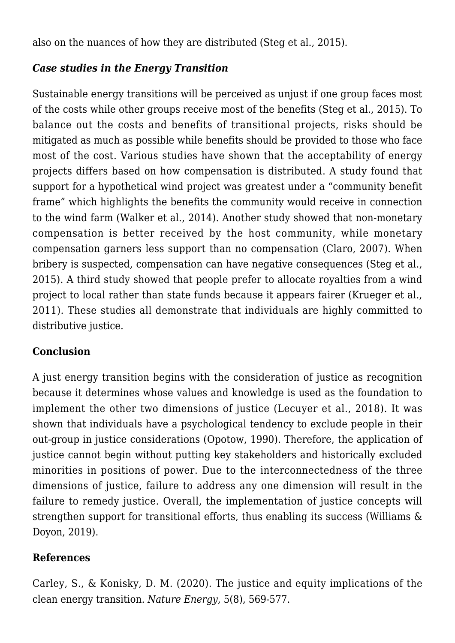also on the nuances of how they are distributed (Steg et al., 2015).

## *Case studies in the Energy Transition*

Sustainable energy transitions will be perceived as unjust if one group faces most of the costs while other groups receive most of the benefits (Steg et al., 2015). To balance out the costs and benefits of transitional projects, risks should be mitigated as much as possible while benefits should be provided to those who face most of the cost. Various studies have shown that the acceptability of energy projects differs based on how compensation is distributed. A study found that support for a hypothetical wind project was greatest under a "community benefit frame" which highlights the benefits the community would receive in connection to the wind farm (Walker et al., 2014). Another study showed that non-monetary compensation is better received by the host community, while monetary compensation garners less support than no compensation (Claro, 2007). When bribery is suspected, compensation can have negative consequences (Steg et al., 2015). A third study showed that people prefer to allocate royalties from a wind project to local rather than state funds because it appears fairer (Krueger et al., 2011). These studies all demonstrate that individuals are highly committed to distributive justice.

## **Conclusion**

A just energy transition begins with the consideration of justice as recognition because it determines whose values and knowledge is used as the foundation to implement the other two dimensions of justice (Lecuyer et al., 2018). It was shown that individuals have a psychological tendency to exclude people in their out-group in justice considerations (Opotow, 1990). Therefore, the application of justice cannot begin without putting key stakeholders and historically excluded minorities in positions of power. Due to the interconnectedness of the three dimensions of justice, failure to address any one dimension will result in the failure to remedy justice. Overall, the implementation of justice concepts will strengthen support for transitional efforts, thus enabling its success (Williams & Doyon, 2019).

#### **References**

Carley, S., & Konisky, D. M. (2020). [The justice and equity implications of the](https://www.nature.com/articles/s41560-020-0641-6) [clean energy transition.](https://www.nature.com/articles/s41560-020-0641-6) *Nature Energy*, 5(8), 569-577.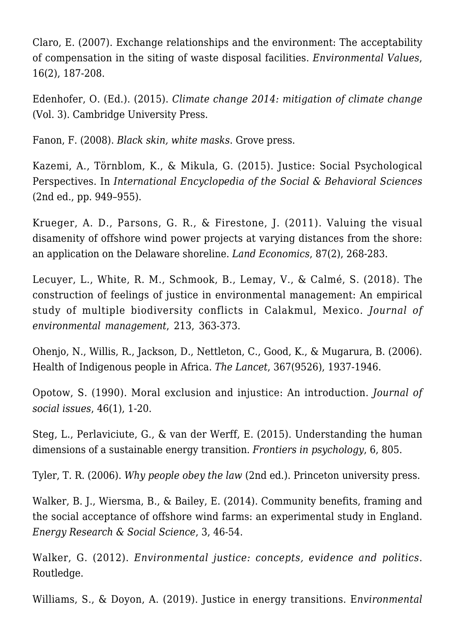Claro, E. (2007). [Exchange relationships and the environment: The acceptability](https://www.ingentaconnect.com/content/whp/ev/2007/00000016/00000002/art00005) [of compensation in the siting of waste disposal facilities.](https://www.ingentaconnect.com/content/whp/ev/2007/00000016/00000002/art00005) *Environmental Values*, 16(2), 187-208.

Edenhofer, O. (Ed.). (2015). *[Climate change 2014: mitigation of climate change](https://www.cambridge.org/de/academic/subjects/earth-and-environmental-science/climatology-and-climate-change/climate-change-2014-mitigation-climate-change-working-group-iii-contribution-ipcc-fifth-assessment-report?format=HB&isbn=9781107654815)* [\(Vol. 3\).](https://www.cambridge.org/de/academic/subjects/earth-and-environmental-science/climatology-and-climate-change/climate-change-2014-mitigation-climate-change-working-group-iii-contribution-ipcc-fifth-assessment-report?format=HB&isbn=9781107654815) Cambridge University Press.

Fanon, F. (2008). *[Black skin, white masks](https://groveatlantic.com/book/black-skin-white-masks/)*[.](https://groveatlantic.com/book/black-skin-white-masks/) Grove press.

Kazemi, A., Törnblom, K., & Mikula, G. (2015). [Justice: Social Psychological](https://www.diva-portal.org/smash/record.jsf?pid=diva2%3A920995&dswid=3152) [Perspectives.](https://www.diva-portal.org/smash/record.jsf?pid=diva2%3A920995&dswid=3152) In *International Encyclopedia of the Social & Behavioral Sciences* (2nd ed., pp. 949–955).

Krueger, A. D., Parsons, G. R., & Firestone, J. (2011). [Valuing the visual](http://le.uwpress.org/content/87/2/268.short) [disamenity of offshore wind power projects at varying distances from the shore:](http://le.uwpress.org/content/87/2/268.short) [an application on the Delaware shoreline.](http://le.uwpress.org/content/87/2/268.short) *Land Economics*, 87(2), 268-283.

Lecuyer, L., White, R. M., Schmook, B., Lemay, V., & Calmé, S. (2018). [The](https://www.sciencedirect.com/science/article/pii/S0301479718301579) [construction of feelings of justice in environmental management: An empirical](https://www.sciencedirect.com/science/article/pii/S0301479718301579) [study of multiple biodiversity conflicts in Calakmul, Mexico.](https://www.sciencedirect.com/science/article/pii/S0301479718301579) *Journal of environmental management*, 213, 363-373.

Ohenjo, N., Willis, R., Jackson, D., Nettleton, C., Good, K., & Mugarura, B. (2006). [Health of Indigenous people in Africa.](https://www.sciencedirect.com/science/article/pii/S0140673606688491?casa_token=JfKYupGOk-sAAAAA:C91IrMLmRm-SFfzDvbmyExTPd4k82gAZdGhM6rJDhgGwNMAHBLHYEYGTNufHXZmyDRtQ0JkMOOs) *The Lancet*, 367(9526), 1937-1946.

Opotow, S. (1990). [Moral exclusion and injustice: An introduction.](https://spssi.onlinelibrary.wiley.com/doi/abs/10.1111/j.1540-4560.1990.tb00268.x) *Journal of social issues*, 46(1), 1-20.

Steg, L., Perlaviciute, G., & van der Werff, E. (2015). [Understanding the human](https://www.frontiersin.org/articles/10.3389/fpsyg.2015.00805/full) [dimensions of a sustainable energy transition.](https://www.frontiersin.org/articles/10.3389/fpsyg.2015.00805/full) *Frontiers in psychology*, 6, 805.

Tyler, T. R. (2006). *[Why people obey the law](https://www.degruyter.com/document/doi/10.1515/9781400828609/pdf)* [\(2nd ed.\).](https://www.degruyter.com/document/doi/10.1515/9781400828609/pdf) Princeton university press.

Walker, B. J., Wiersma, B., & Bailey, E. (2014). [Community benefits, framing and](https://www.sciencedirect.com/science/article/abs/pii/S2214629614000814) [the social acceptance of offshore wind farms: an experimental study in England.](https://www.sciencedirect.com/science/article/abs/pii/S2214629614000814) *Energy Research & Social Science*, 3, 46-54.

Walker, G. (2012). *[Environmental justice: concepts, evidence and politics](https://www.taylorfrancis.com/books/mono/10.4324/9780203610671/environmental-justice-gordon-walker)*[.](https://www.taylorfrancis.com/books/mono/10.4324/9780203610671/environmental-justice-gordon-walker) Routledge.

Williams, S., & Doyon, A. (2019). [Justice in energy transitions.](https://www.sciencedirect.com/science/article/abs/pii/S2210422418301588) E*nvironmental*